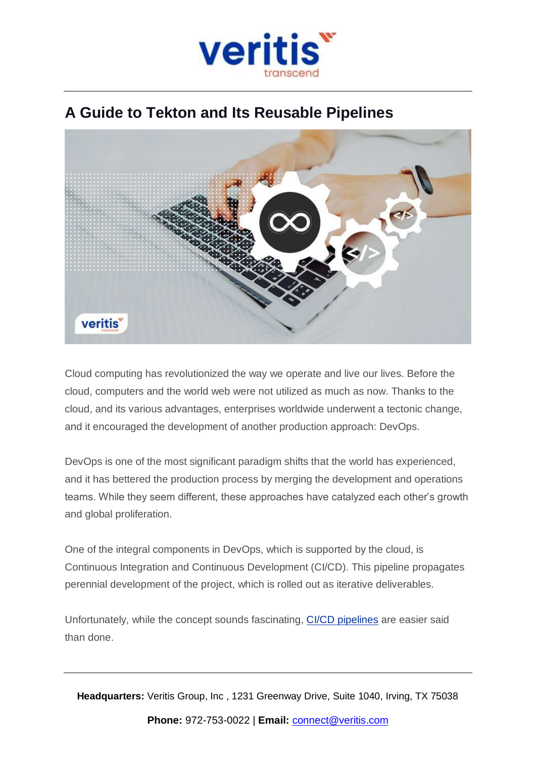

## **A Guide to Tekton and Its Reusable Pipelines**



Cloud computing has revolutionized the way we operate and live our lives. Before the cloud, computers and the world web were not utilized as much as now. Thanks to the cloud, and its various advantages, enterprises worldwide underwent a tectonic change, and it encouraged the development of another production approach: DevOps.

DevOps is one of the most significant paradigm shifts that the world has experienced, and it has bettered the production process by merging the development and operations teams. While they seem different, these approaches have catalyzed each other's growth and global proliferation.

One of the integral components in DevOps, which is supported by the cloud, is Continuous Integration and Continuous Development (CI/CD). This pipeline propagates perennial development of the project, which is rolled out as iterative deliverables.

Unfortunately, while the concept sounds fascinating, CI/CD [pipelines](https://www.veritis.com/blog/ci-cd-services-integrate-and-automate-devops/) are easier said than done.

**Headquarters:** Veritis Group, Inc , 1231 Greenway Drive, Suite 1040, Irving, TX 75038 **Phone:** 972-753-0022 | **Email:** [connect@veritis.com](mailto:connect@veritis.com)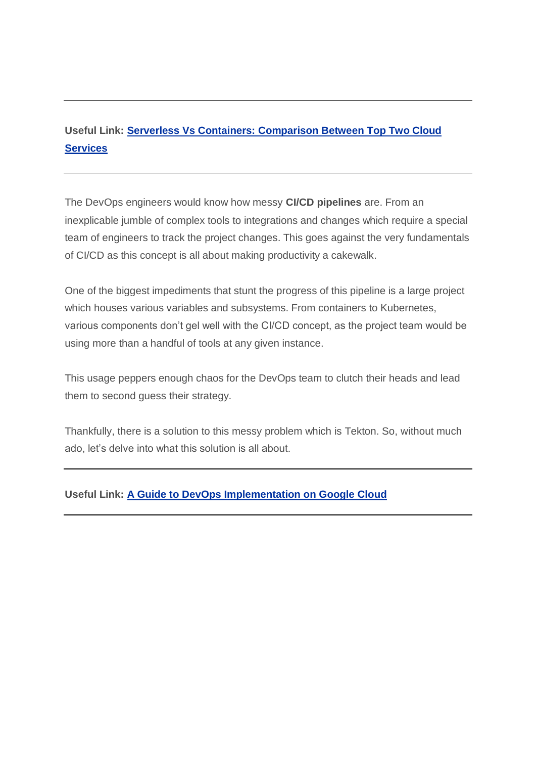## **Useful Link: Serverless Vs Containers: [Comparison](https://www.veritis.com/blog/serverless-vs-containers-comparison-between-top-two-cloud-services/) Between Top Two Cloud [Services](https://www.veritis.com/blog/serverless-vs-containers-comparison-between-top-two-cloud-services/)**

The DevOps engineers would know how messy **CI/CD pipelines** are. From an inexplicable jumble of complex tools to integrations and changes which require a special team of engineers to track the project changes. This goes against the very fundamentals of CI/CD as this concept is all about making productivity a cakewalk.

One of the biggest impediments that stunt the progress of this pipeline is a large project which houses various variables and subsystems. From containers to Kubernetes, various components don't gel well with the CI/CD concept, as the project team would be using more than a handful of tools at any given instance.

This usage peppers enough chaos for the DevOps team to clutch their heads and lead them to second guess their strategy.

Thankfully, there is a solution to this messy problem which is Tekton. So, without much ado, let's delve into what this solution is all about.

#### **Useful Link: A Guide to DevOps [Implementation](https://www.veritis.com/blog/a-guide-to-devops-implementation-on-google-cloud/) on Google Cloud**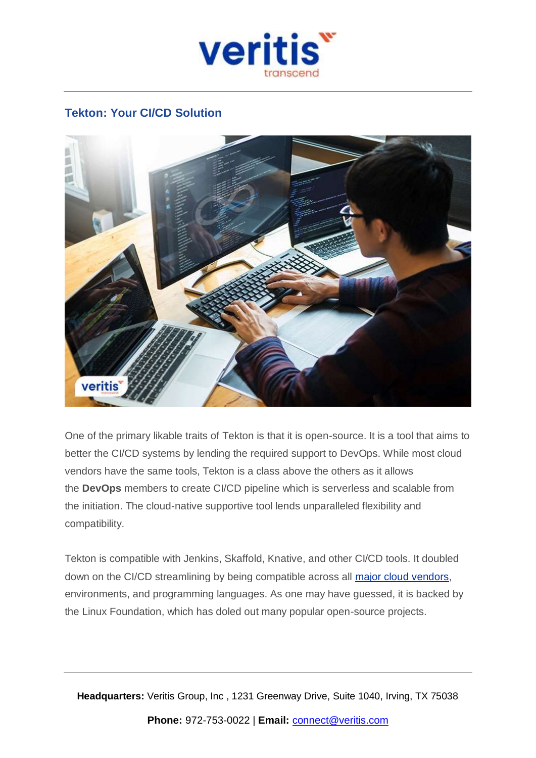

### **Tekton: Your CI/CD Solution**



One of the primary likable traits of Tekton is that it is open-source. It is a tool that aims to better the CI/CD systems by lending the required support to DevOps. While most cloud vendors have the same tools, Tekton is a class above the others as it allows the **DevOps** members to create CI/CD pipeline which is serverless and scalable from the initiation. The cloud-native supportive tool lends unparalleled flexibility and compatibility.

Tekton is compatible with Jenkins, Skaffold, Knative, and other CI/CD tools. It doubled down on the CI/CD streamlining by being compatible across all major cloud [vendors,](https://www.veritis.com/solutions/cloud/) environments, and programming languages. As one may have guessed, it is backed by the Linux Foundation, which has doled out many popular open-source projects.

**Headquarters:** Veritis Group, Inc , 1231 Greenway Drive, Suite 1040, Irving, TX 75038 **Phone:** 972-753-0022 | **Email:** [connect@veritis.com](mailto:connect@veritis.com)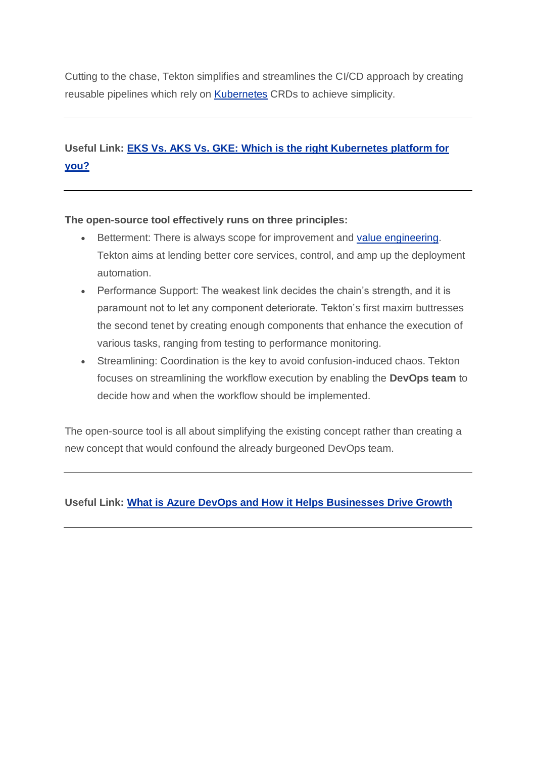Cutting to the chase, Tekton simplifies and streamlines the CI/CD approach by creating reusable pipelines which rely on [Kubernetes](https://www.veritis.com/services/kubernetes/) CRDs to achieve simplicity.

## **Useful Link: EKS Vs. AKS Vs. GKE: Which is the right [Kubernetes](https://www.veritis.com/blog/eks-vs-aks-vs-gke-which-is-the-right-kubernetes-platform-for-you/) platform for [you?](https://www.veritis.com/blog/eks-vs-aks-vs-gke-which-is-the-right-kubernetes-platform-for-you/)**

#### **The open-source tool effectively runs on three principles:**

- **Betterment: There is always scope for improvement and value [engineering.](https://www.veritis.com/blog/value-engineering-the-intuitive-approach-for-perfection/)** Tekton aims at lending better core services, control, and amp up the deployment automation.
- Performance Support: The weakest link decides the chain's strength, and it is paramount not to let any component deteriorate. Tekton's first maxim buttresses the second tenet by creating enough components that enhance the execution of various tasks, ranging from testing to performance monitoring.
- Streamlining: Coordination is the key to avoid confusion-induced chaos. Tekton focuses on streamlining the workflow execution by enabling the **DevOps team** to decide how and when the workflow should be implemented.

The open-source tool is all about simplifying the existing concept rather than creating a new concept that would confound the already burgeoned DevOps team.

#### **Useful Link: What is Azure DevOps and How it Helps [Businesses](https://www.veritis.com/blog/what-is-azure-devops-and-how-it-helps-businesses-drive-growth/) Drive Growth**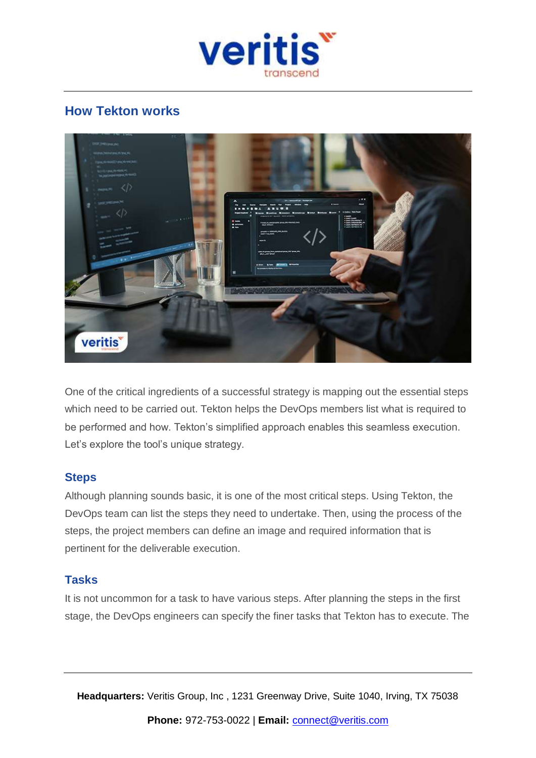

## **How Tekton works**



One of the critical ingredients of a successful strategy is mapping out the essential steps which need to be carried out. Tekton helps the DevOps members list what is required to be performed and how. Tekton's simplified approach enables this seamless execution. Let's explore the tool's unique strategy.

#### **Steps**

Although planning sounds basic, it is one of the most critical steps. Using Tekton, the DevOps team can list the steps they need to undertake. Then, using the process of the steps, the project members can define an image and required information that is pertinent for the deliverable execution.

#### **Tasks**

It is not uncommon for a task to have various steps. After planning the steps in the first stage, the DevOps engineers can specify the finer tasks that Tekton has to execute. The

**Headquarters:** Veritis Group, Inc , 1231 Greenway Drive, Suite 1040, Irving, TX 75038

**Phone:** 972-753-0022 | **Email:** [connect@veritis.com](mailto:connect@veritis.com)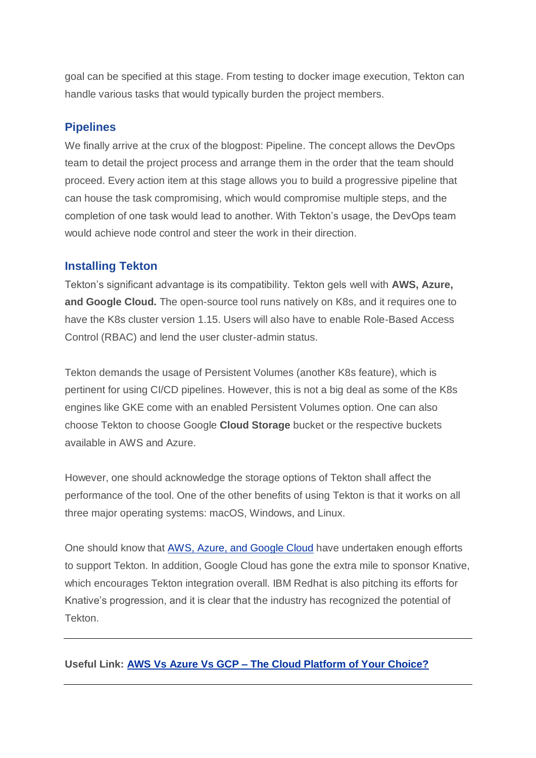goal can be specified at this stage. From testing to docker image execution, Tekton can handle various tasks that would typically burden the project members.

#### **Pipelines**

We finally arrive at the crux of the blogpost: Pipeline. The concept allows the DevOps team to detail the project process and arrange them in the order that the team should proceed. Every action item at this stage allows you to build a progressive pipeline that can house the task compromising, which would compromise multiple steps, and the completion of one task would lead to another. With Tekton's usage, the DevOps team would achieve node control and steer the work in their direction.

#### **Installing Tekton**

Tekton's significant advantage is its compatibility. Tekton gels well with **AWS, Azure, and Google Cloud.** The open-source tool runs natively on K8s, and it requires one to have the K8s cluster version 1.15. Users will also have to enable Role-Based Access Control (RBAC) and lend the user cluster-admin status.

Tekton demands the usage of Persistent Volumes (another K8s feature), which is pertinent for using CI/CD pipelines. However, this is not a big deal as some of the K8s engines like GKE come with an enabled Persistent Volumes option. One can also choose Tekton to choose Google **Cloud Storage** bucket or the respective buckets available in AWS and Azure.

However, one should acknowledge the storage options of Tekton shall affect the performance of the tool. One of the other benefits of using Tekton is that it works on all three major operating systems: macOS, Windows, and Linux.

One should know that AWS, Azure, and [Google](https://www.veritis.com/blog/which-cloud-has-better-private-connectivity-aws-or-azure-or-gcp/) Cloud have undertaken enough efforts to support Tekton. In addition, Google Cloud has gone the extra mile to sponsor Knative, which encourages Tekton integration overall. IBM Redhat is also pitching its efforts for Knative's progression, and it is clear that the industry has recognized the potential of Tekton.

#### **Useful Link: AWS Vs Azure Vs GCP – The Cloud [Platform](https://www.veritis.com/blog/aws-vs-azure-vs-gcp-the-cloud-platform-of-your-choice/) of Your Choice?**